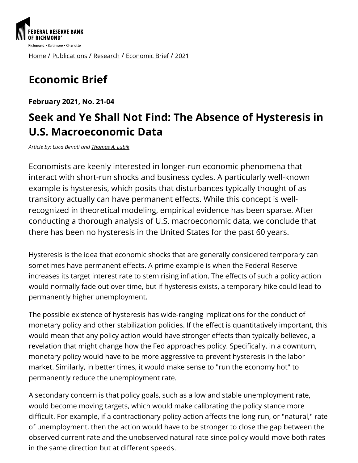

[Home](https://www.richmondfed.org/) / [Publications](https://www.richmondfed.org/publications) / [Research](https://www.richmondfed.org/publications/research) / [Economic Brief](https://www.richmondfed.org/publications/research/economic_brief) / [2021](https://www.richmondfed.org/publications/research/economic_brief/2021)

# **Economic Brief**

**February 2021, No. 21-04**

## **Seek and Ye Shall Not Find: The Absence of Hysteresis in U.S. Macroeconomic Data**

*Article by: Luca Benati and [Thomas A. Lubik](https://www.richmondfed.org/research/people/lubik)*

Economists are keenly interested in longer-run economic phenomena that interact with short-run shocks and business cycles. A particularly well-known example is hysteresis, which posits that disturbances typically thought of as transitory actually can have permanent effects. While this concept is wellrecognized in theoretical modeling, empirical evidence has been sparse. After conducting a thorough analysis of U.S. macroeconomic data, we conclude that there has been no hysteresis in the United States for the past 60 years.

Hysteresis is the idea that economic shocks that are generally considered temporary can sometimes have permanent effects. A prime example is when the Federal Reserve increases its target interest rate to stem rising inflation. The effects of such a policy action would normally fade out over time, but if hysteresis exists, a temporary hike could lead to permanently higher unemployment.

The possible existence of hysteresis has wide-ranging implications for the conduct of monetary policy and other stabilization policies. If the effect is quantitatively important, this would mean that any policy action would have stronger effects than typically believed, a revelation that might change how the Fed approaches policy. Specifically, in a downturn, monetary policy would have to be more aggressive to prevent hysteresis in the labor market. Similarly, in better times, it would make sense to "run the economy hot" to permanently reduce the unemployment rate.

A secondary concern is that policy goals, such as a low and stable unemployment rate, would become moving targets, which would make calibrating the policy stance more difficult. For example, if a contractionary policy action affects the long-run, or "natural," rate of unemployment, then the action would have to be stronger to close the gap between the observed current rate and the unobserved natural rate since policy would move both rates in the same direction but at different speeds.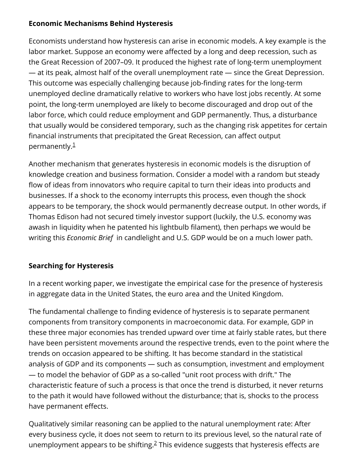#### **Economic Mechanisms Behind Hysteresis**

Economists understand how hysteresis can arise in economic models. A key example is the labor market. Suppose an economy were affected by a long and deep recession, such as the Great Recession of 2007–09. It produced the highest rate of long-term unemployment — at its peak, almost half of the overall unemployment rate — since the Great Depression. This outcome was especially challenging because job-finding rates for the long-term unemployed decline dramatically relative to workers who have lost jobs recently. At some point, the long-term unemployed are likely to become discouraged and drop out of the labor force, which could reduce employment and GDP permanently. Thus, a disturbance that usually would be considered temporary, such as the changing risk appetites for certain financial instruments that precipitated the Great Recession, can affect output permanently.<sup>[1](#page-4-0)</sup>

Another mechanism that generates hysteresis in economic models is the disruption of knowledge creation and business formation. Consider a model with a random but steady flow of ideas from innovators who require capital to turn their ideas into products and businesses. If a shock to the economy interrupts this process, even though the shock appears to be temporary, the shock would permanently decrease output. In other words, if Thomas Edison had not secured timely investor support (luckily, the U.S. economy was awash in liquidity when he patented his lightbulb filament), then perhaps we would be writing this *Economic Brief* in candlelight and U.S. GDP would be on a much lower path.

#### **Searching for Hysteresis**

In a recent working paper, we investigate the empirical case for the presence of hysteresis in aggregate data in the United States, the euro area and the United Kingdom.

The fundamental challenge to finding evidence of hysteresis is to separate permanent components from transitory components in macroeconomic data. For example, GDP in these three major economies has trended upward over time at fairly stable rates, but there have been persistent movements around the respective trends, even to the point where the trends on occasion appeared to be shifting. It has become standard in the statistical analysis of GDP and its components — such as consumption, investment and employment — to model the behavior of GDP as a so-called "unit root process with drift." The characteristic feature of such a process is that once the trend is disturbed, it never returns to the path it would have followed without the disturbance; that is, shocks to the process have permanent effects.

Qualitatively similar reasoning can be applied to the natural unemployment rate: After every business cycle, it does not seem to return to its previous level, so the natural rate of unemploymentappears to be shifting. $2$  This evidence suggests that hysteresis effects are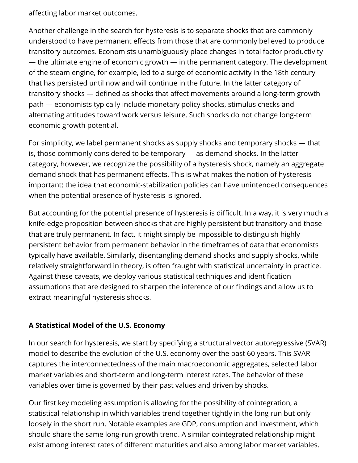affecting labor market outcomes.

Another challenge in the search for hysteresis is to separate shocks that are commonly understood to have permanent effects from those that are commonly believed to produce transitory outcomes. Economists unambiguously place changes in total factor productivity — the ultimate engine of economic growth — in the permanent category. The development of the steam engine, for example, led to a surge of economic activity in the 18th century that has persisted until now and will continue in the future. In the latter category of transitory shocks — defined as shocks that affect movements around a long-term growth path — economists typically include monetary policy shocks, stimulus checks and alternating attitudes toward work versus leisure. Such shocks do not change long-term economic growth potential.

For simplicity, we label permanent shocks as supply shocks and temporary shocks — that is, those commonly considered to be temporary — as demand shocks. In the latter category, however, we recognize the possibility of a hysteresis shock, namely an aggregate demand shock that has permanent effects. This is what makes the notion of hysteresis important: the idea that economic-stabilization policies can have unintended consequences when the potential presence of hysteresis is ignored.

But accounting for the potential presence of hysteresis is difficult. In a way, it is very much a knife-edge proposition between shocks that are highly persistent but transitory and those that are truly permanent. In fact, it might simply be impossible to distinguish highly persistent behavior from permanent behavior in the timeframes of data that economists typically have available. Similarly, disentangling demand shocks and supply shocks, while relatively straightforward in theory, is often fraught with statistical uncertainty in practice. Against these caveats, we deploy various statistical techniques and identification assumptions that are designed to sharpen the inference of our findings and allow us to extract meaningful hysteresis shocks.

#### **A Statistical Model of the U.S. Economy**

In our search for hysteresis, we start by specifying a structural vector autoregressive (SVAR) model to describe the evolution of the U.S. economy over the past 60 years. This SVAR captures the interconnectedness of the main macroeconomic aggregates, selected labor market variables and short-term and long-term interest rates. The behavior of these variables over time is governed by their past values and driven by shocks.

Our first key modeling assumption is allowing for the possibility of cointegration, a statistical relationship in which variables trend together tightly in the long run but only loosely in the short run. Notable examples are GDP, consumption and investment, which should share the same long-run growth trend. A similar cointegrated relationship might exist among interest rates of different maturities and also among labor market variables.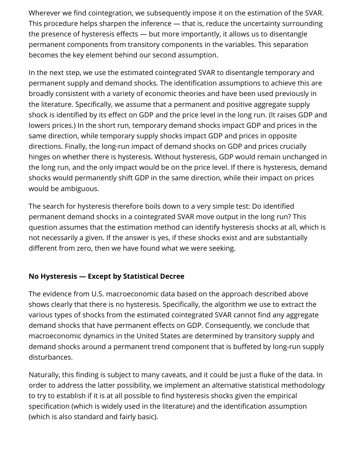Wherever we find cointegration, we subsequently impose it on the estimation of the SVAR. This procedure helps sharpen the inference — that is, reduce the uncertainty surrounding the presence of hysteresis effects  $-$  but more importantly, it allows us to disentangle permanent components from transitory components in the variables. This separation becomes the key element behind our second assumption.

In the next step, we use the estimated cointegrated SVAR to disentangle temporary and permanent supply and demand shocks. The identification assumptions to achieve this are broadly consistent with a variety of economic theories and have been used previously in the literature. Specifically, we assume that a permanent and positive aggregate supply shock is identified by its effect on GDP and the price level in the long run. (It raises GDP and lowers prices.) In the short run, temporary demand shocks impact GDP and prices in the same direction, while temporary supply shocks impact GDP and prices in opposite directions. Finally, the long-run impact of demand shocks on GDP and prices crucially hinges on whether there is hysteresis. Without hysteresis, GDP would remain unchanged in the long run, and the only impact would be on the price level. If there is hysteresis, demand shocks would permanently shift GDP in the same direction, while their impact on prices would be ambiguous.

The search for hysteresis therefore boils down to a very simple test: Do identified permanent demand shocks in a cointegrated SVAR move output in the long run? This question assumes that the estimation method can identify hysteresis shocks at all, which is not necessarily a given. If the answer is yes, if these shocks exist and are substantially different from zero, then we have found what we were seeking.

#### **No Hysteresis — Except by Statistical Decree**

The evidence from U.S. macroeconomic data based on the approach described above shows clearly that there is no hysteresis. Specifically, the algorithm we use to extract the various types of shocks from the estimated cointegrated SVAR cannot find any aggregate demand shocks that have permanent effects on GDP. Consequently, we conclude that macroeconomic dynamics in the United States are determined by transitory supply and demand shocks around a permanent trend component that is buffeted by long-run supply disturbances.

Naturally, this finding is subject to many caveats, and it could be just a fluke of the data. In order to address the latter possibility, we implement an alternative statistical methodology to try to establish if it is at all possible to find hysteresis shocks given the empirical specification (which is widely used in the literature) and the identification assumption (which is also standard and fairly basic).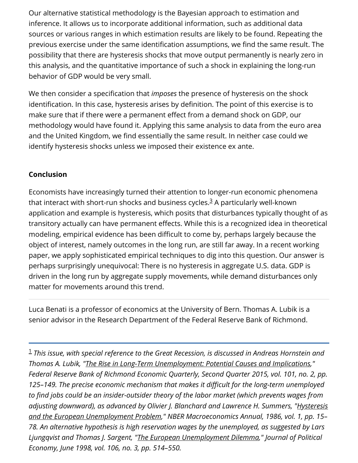Our alternative statistical methodology is the Bayesian approach to estimation and inference. It allows us to incorporate additional information, such as additional data sources or various ranges in which estimation results are likely to be found. Repeating the previous exercise under the same identification assumptions, we find the same result. The possibility that there are hysteresis shocks that move output permanently is nearly zero in this analysis, and the quantitative importance of such a shock in explaining the long-run behavior of GDP would be very small.

We then consider a specification that *imposes* the presence of hysteresis on the shock identification. In this case, hysteresis arises by definition. The point of this exercise is to make sure that if there were a permanent effect from a demand shock on GDP, our methodology would have found it. Applying this same analysis to data from the euro area and the United Kingdom, we find essentially the same result. In neither case could we identify hysteresis shocks unless we imposed their existence ex ante.

#### **Conclusion**

Economists have increasingly turned their attention to longer-run economic phenomena thatinteract with short-run shocks and business cycles. $^3$  A particularly well-known application and example is hysteresis, which posits that disturbances typically thought of as transitory actually can have permanent effects. While this is a recognized idea in theoretical modeling, empirical evidence has been difficult to come by, perhaps largely because the object of interest, namely outcomes in the long run, are still far away. In a recent working paper, we apply sophisticated empirical techniques to dig into this question. Our answer is perhaps surprisingly unequivocal: There is no hysteresis in aggregate U.S. data. GDP is driven in the long run by aggregate supply movements, while demand disturbances only matter for movements around this trend.

Luca Benati is a professor of economics at the University of Bern. Thomas A. Lubik is a senior advisor in the Research Department of the Federal Reserve Bank of Richmond.

<span id="page-4-0"></span>*This issue, with special reference to the Great Recession, is discussed in Andreas Hornstein and* 1*Thomas A. Lubik, "[The Rise in Long-Term Unemployment: Potential Causes and Implications](https://www.richmondfed.org/publications/research/economic_quarterly/2015/q2/2010)," Federal Reserve Bank of Richmond Economic Quarterly, Second Quarter 2015, vol. 101, no. 2, pp.* 125–149. The precise economic mechanism that makes it difficult for the long-term unemployed to find jobs could be an insider-outsider theory of the labor market (which prevents wages from *[adjusting downward\), as advanced by Olivier J. Blanchard and Lawrence H. Summers, "Hysteresis](https://doi.org/10.2307/3585159) and the European Unemployment Problem," NBER Macroeconomics Annual, 1986, vol. 1, pp. 15– 78. An alternative hypothesis is high reservation wages by the unemployed, as suggested by Lars Ljungqvist and Thomas J. Sargent, ["The European Unemployment Dilemma](https://doi.org/10.1086/250020)," Journal of Political Economy, June 1998, vol. 106, no. 3, pp. 514–550.*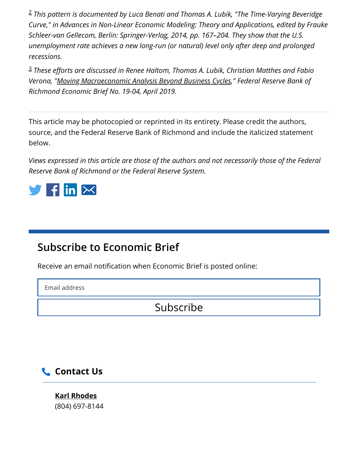<span id="page-5-0"></span>*This pattern is documented by Luca Benati and Thomas A. Lubik, "The Time-Varying Beveridge* 2 *Curve," in Advances in Non-Linear Economic Modeling: Theory and Applications, edited by Frauke Schleer-van Gellecom, Berlin: Springer-Verlag, 2014, pp. 167–204. They show that the U.S. unemployment rate achieves a new long-run (or natural) level only after deep and prolonged recessions.*

<span id="page-5-1"></span><sup>3</sup> These efforts are discussed in Renee Haltom, Thomas A. Lubik, Christian Matthes and Fabio *Verona, ["Moving Macroeconomic Analysis Beyond Business Cycles,](https://www.richmondfed.org/publications/research/economic_brief/2019/eb_19-04)" Federal Reserve Bank of Richmond Economic Brief No. 19-04, April 2019.*

This article may be photocopied or reprinted in its entirety. Please credit the authors, source, and the Federal Reserve Bank of Richmond and include the italicized statement below.

*Views expressed in this article are those of the authors and not necessarily those of the Federal Reserve Bank of Richmond or the Federal Reserve System.*



### **Subscribe to Economic Brief**

Receive an email notification when Economic Brief is posted online:

Email address

Subscribe

### **Contact Us**

**[Karl Rhodes](https://www.richmondfed.org/contact_us/?mapid=659cbb47-85b6-4287-bf6d-c118ae4dcddd&r=04f2ff2e-2436-4e8d-939c-5d21dbf4c4bb)** (804) 697-8144